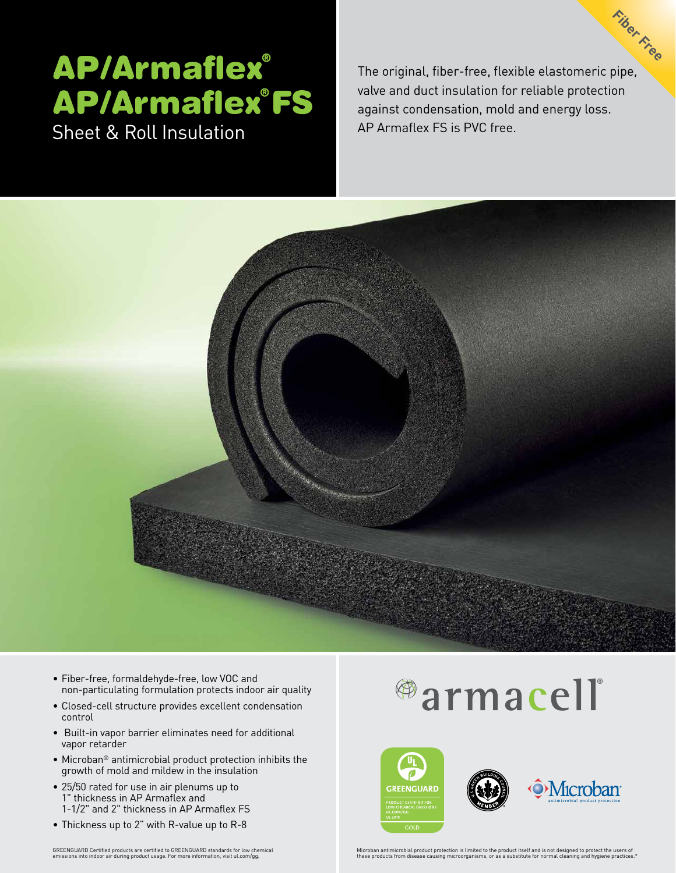## **AP/Armaflex® AP/Armaflex°FS** Sheet & Roll Insulation **AP Armaflex FS** is PVC free.

The original, fiber-free, flexible elastomeric pipe, valve and duct insulation for reliable protection against condensation, mold and energy loss. **Fiber Free**



- Fiber-free, formaldehyde-free, low VOC and non-particulating formulation protects indoor air quality
- Closed-cell structure provides excellent condensation control
- Built-in vapor barrier eliminates need for additional vapor retarder
- Microban® antimicrobial product protection inhibits the growth of mold and mildew in the insulation
- 25/50 rated for use in air plenums up to 1" thickness in AP Armaflex and 1-1/2" and 2" thickness in AP Armaflex FS
- Thickness up to 2" with R-value up to R-8

# <sup>@</sup>armacell



GRENGION of the state of the state of the state of the state of the state of the state of the state of the state of the state of the state of the state of the state of the state of the state of the state of the state of th